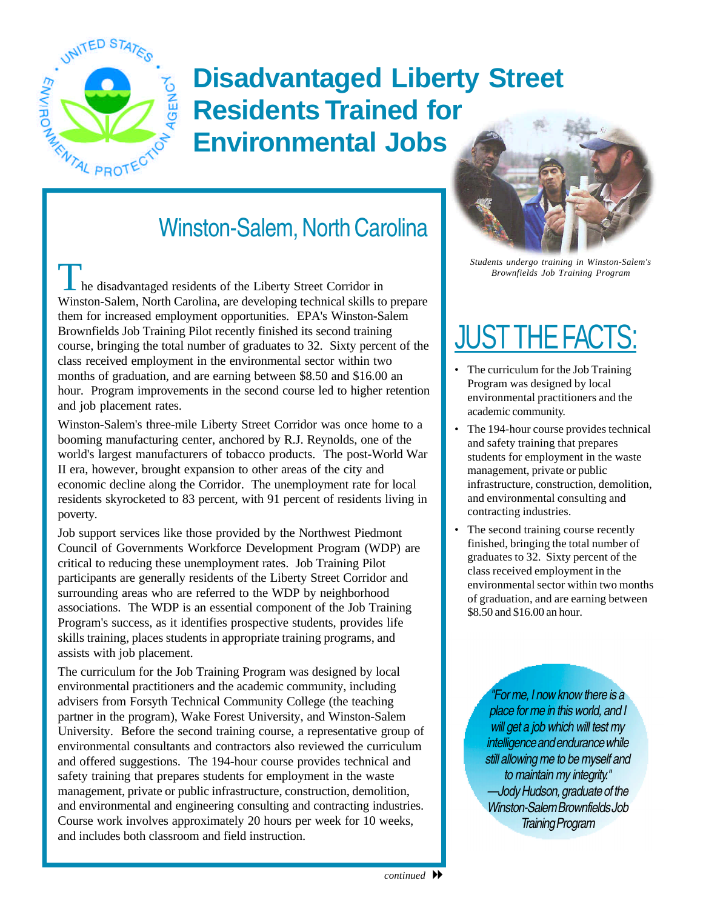

## **Disadvantaged Liberty Street Residents Trained for Environmental Jobs**

## Winston-Salem, North Carolina

**Provenue Article 2018** Brownfields Job Training Program **The disadvantaged residents of the Liberty Street Corridor in** Winston-Salem, North Carolina, are developing technical skills to prepare them for increased employment opportunities. EPA's Winston-Salem Brownfields Job Training Pilot recently finished its second training course, bringing the total number of graduates to 32. Sixty percent of the class received employment in the environmental sector within two months of graduation, and are earning between \$8.50 and \$16.00 an hour. Program improvements in the second course led to higher retention and job placement rates.

Winston-Salem's three-mile Liberty Street Corridor was once home to a booming manufacturing center, anchored by R.J. Reynolds, one of the world's largest manufacturers of tobacco products. The post-World War II era, however, brought expansion to other areas of the city and economic decline along the Corridor. The unemployment rate for local residents skyrocketed to 83 percent, with 91 percent of residents living in poverty.

Job support services like those provided by the Northwest Piedmont Council of Governments Workforce Development Program (WDP) are critical to reducing these unemployment rates. Job Training Pilot participants are generally residents of the Liberty Street Corridor and surrounding areas who are referred to the WDP by neighborhood associations. The WDP is an essential component of the Job Training Program's success, as it identifies prospective students, provides life skills training, places students in appropriate training programs, and assists with job placement.

The curriculum for the Job Training Program was designed by local environmental practitioners and the academic community, including advisers from Forsyth Technical Community College (the teaching partner in the program), Wake Forest University, and Winston-Salem University. Before the second training course, a representative group of environmental consultants and contractors also reviewed the curriculum and offered suggestions. The 194-hour course provides technical and safety training that prepares students for employment in the waste management, private or public infrastructure, construction, demolition, and environmental and engineering consulting and contracting industries. Course work involves approximately 20 hours per week for 10 weeks, and includes both classroom and field instruction.



*Students undergo training in Winston-Salem's* 

## **JUST THE FACT**

- The curriculum for the Job Training Program was designed by local environmental practitioners and the academic community.
- The 194-hour course provides technical and safety training that prepares students for employment in the waste management, private or public infrastructure, construction, demolition, and environmental consulting and contracting industries.
- The second training course recently finished, bringing the total number of graduates to 32. Sixty percent of the class received employment in the environmental sector within two months of graduation, and are earning between \$8.50 and \$16.00 an hour.

*"For me, I now know there is a place for me in this world, and I will get a job which will test my intelligence and endurance while still allowing me to be myself and to maintain my integrity." —Jody Hudson, graduate of the Winston-Salem Brownfields Job Training Program*